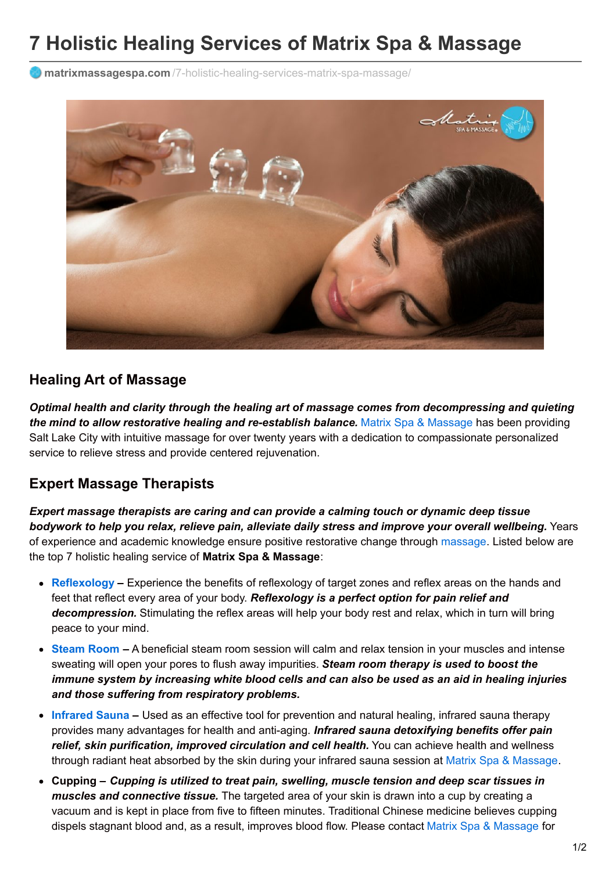# **7 Holistic Healing Services of Matrix Spa & Massage**

**matrixmassagespa.com** [/7-holistic-healing-services-matrix-spa-massage/](https://matrixmassagespa.com/7-holistic-healing-services-matrix-spa-massage/)



#### **Healing Art of Massage**

*Optimal health and clarity through the healing art of massage comes from decompressing and quieting the mind to allow restorative healing and re-establish balance.* Matrix Spa & [Massage](https://matrixmassagespa.com/) has been providing Salt Lake City with intuitive massage for over twenty years with a dedication to compassionate personalized service to relieve stress and provide centered rejuvenation.

#### **Expert Massage Therapists**

*Expert massage therapists are caring and can provide a calming touch or dynamic deep tissue bodywork to help you relax, relieve pain, alleviate daily stress and improve your overall wellbeing.* Years of experience and academic knowledge ensure positive restorative change through [massage](https://matrixmassagespa.com/first-time-massage/). Listed below are the top 7 holistic healing service of **Matrix Spa & Massage**:

- **[Reflexology](https://matrixmassagespa.com/service/reflexology-massage-salt-lake-city/) –** Experience the benefits of reflexology of target zones and reflex areas on the hands and feet that reflect every area of your body. *Reflexology is a perfect option for pain relief and decompression.* Stimulating the reflex areas will help your body rest and relax, which in turn will bring peace to your mind.
- **[Steam](https://matrixmassagespa.com/service/steam-room-salt-lake-city/) Room –** A beneficial steam room session will calm and relax tension in your muscles and intense sweating will open your pores to flush away impurities. *Steam room therapy is used to boost the immune system by increasing white blood cells and can also be used as an aid in healing injuries and those suffering from respiratory problems.*
- **[Infrared](https://matrixmassagespa.com/service/infrared-sauna/) Sauna –** Used as an effective tool for prevention and natural healing, infrared sauna therapy provides many advantages for health and anti-aging. *Infrared sauna detoxifying benefits offer pain relief, skin purification, improved circulation and cell health.* You can achieve health and wellness through radiant heat absorbed by the skin during your infrared sauna session at Matrix Spa & [Massage](https://matrixmassagespa.com/mission-statement/).
- **Cupping –** *Cupping is utilized to treat pain, swelling, muscle tension and deep scar tissues in muscles and connective tissue.* The targeted area of your skin is drawn into a cup by creating a vacuum and is kept in place from five to fifteen minutes. Traditional Chinese medicine believes cupping dispels stagnant blood and, as a result, improves blood flow. Please contact Matrix Spa & [Massage](https://matrixmassagespa.com/contact-us/) for